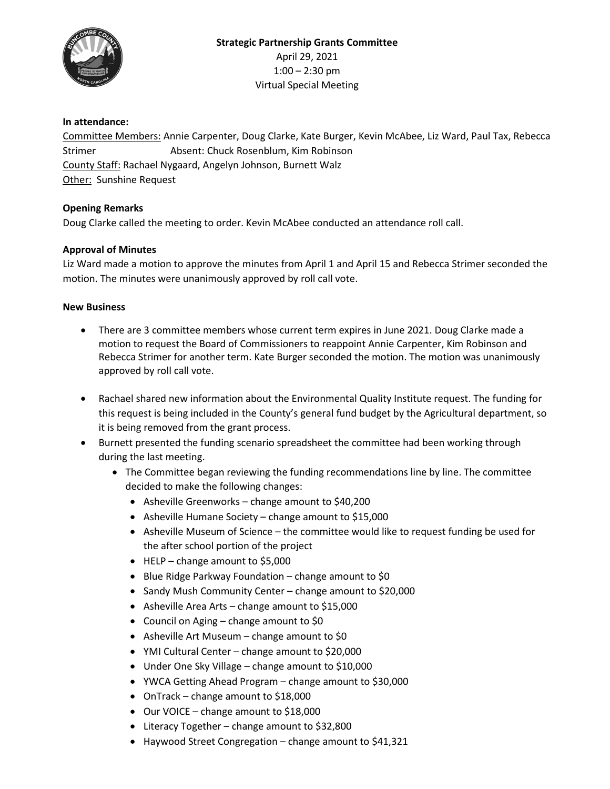

## **In attendance:**

Committee Members: Annie Carpenter, Doug Clarke, Kate Burger, Kevin McAbee, Liz Ward, Paul Tax, Rebecca Strimer **Absent: Chuck Rosenblum, Kim Robinson** County Staff: Rachael Nygaard, Angelyn Johnson, Burnett Walz Other: Sunshine Request

## **Opening Remarks**

Doug Clarke called the meeting to order. Kevin McAbee conducted an attendance roll call.

## **Approval of Minutes**

Liz Ward made a motion to approve the minutes from April 1 and April 15 and Rebecca Strimer seconded the motion. The minutes were unanimously approved by roll call vote.

## **New Business**

- There are 3 committee members whose current term expires in June 2021. Doug Clarke made a motion to request the Board of Commissioners to reappoint Annie Carpenter, Kim Robinson and Rebecca Strimer for another term. Kate Burger seconded the motion. The motion was unanimously approved by roll call vote.
- Rachael shared new information about the Environmental Quality Institute request. The funding for this request is being included in the County's general fund budget by the Agricultural department, so it is being removed from the grant process.
- Burnett presented the funding scenario spreadsheet the committee had been working through during the last meeting.
	- The Committee began reviewing the funding recommendations line by line. The committee decided to make the following changes:
		- Asheville Greenworks change amount to \$40,200
		- Asheville Humane Society change amount to \$15,000
		- Asheville Museum of Science the committee would like to request funding be used for the after school portion of the project
		- HELP change amount to \$5,000
		- Blue Ridge Parkway Foundation change amount to \$0
		- Sandy Mush Community Center change amount to \$20,000
		- Asheville Area Arts change amount to \$15,000
		- Council on Aging change amount to \$0
		- Asheville Art Museum change amount to \$0
		- YMI Cultural Center change amount to \$20,000
		- Under One Sky Village change amount to \$10,000
		- YWCA Getting Ahead Program change amount to \$30,000
		- OnTrack change amount to \$18,000
		- Our VOICE change amount to \$18,000
		- Literacy Together change amount to \$32,800
		- Haywood Street Congregation change amount to \$41,321